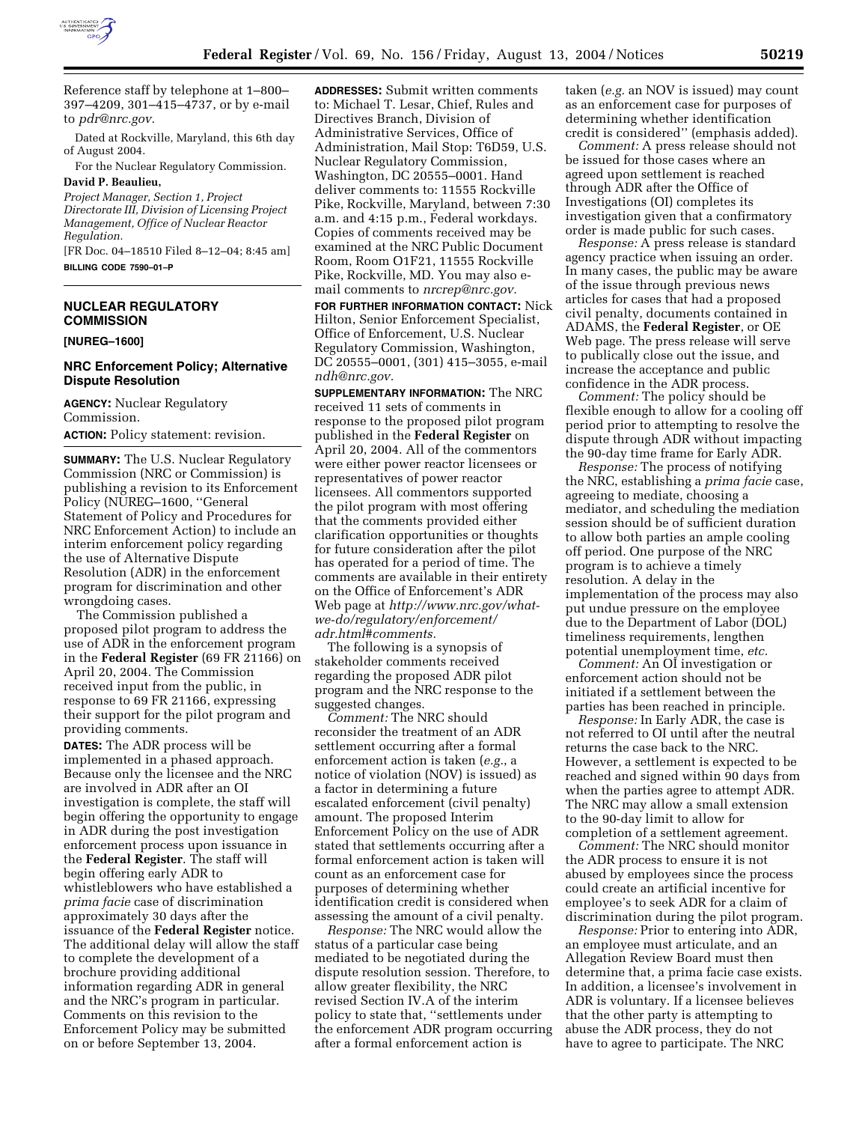

Reference staff by telephone at 1–800– 397–4209, 301–415–4737, or by e-mail to *pdr@nrc.gov.*

Dated at Rockville, Maryland, this 6th day of August 2004.

For the Nuclear Regulatory Commission. **David P. Beaulieu,** 

*Project Manager, Section 1, Project Directorate III, Division of Licensing Project Management, Office of Nuclear Reactor Regulation.*

[FR Doc. 04–18510 Filed 8–12–04; 8:45 am] **BILLING CODE 7590–01–P**

# **NUCLEAR REGULATORY COMMISSION**

**[NUREG–1600]** 

### **NRC Enforcement Policy; Alternative Dispute Resolution**

**AGENCY:** Nuclear Regulatory Commission.

**ACTION:** Policy statement: revision.

**SUMMARY:** The U.S. Nuclear Regulatory Commission (NRC or Commission) is publishing a revision to its Enforcement Policy (NUREG–1600, ''General Statement of Policy and Procedures for NRC Enforcement Action) to include an interim enforcement policy regarding the use of Alternative Dispute Resolution (ADR) in the enforcement program for discrimination and other wrongdoing cases.

The Commission published a proposed pilot program to address the use of ADR in the enforcement program in the **Federal Register** (69 FR 21166) on April 20, 2004. The Commission received input from the public, in response to 69 FR 21166, expressing their support for the pilot program and providing comments.

**DATES:** The ADR process will be implemented in a phased approach. Because only the licensee and the NRC are involved in ADR after an OI investigation is complete, the staff will begin offering the opportunity to engage in ADR during the post investigation enforcement process upon issuance in the **Federal Register**. The staff will begin offering early ADR to whistleblowers who have established a *prima facie* case of discrimination approximately 30 days after the issuance of the **Federal Register** notice. The additional delay will allow the staff to complete the development of a brochure providing additional information regarding ADR in general and the NRC's program in particular. Comments on this revision to the Enforcement Policy may be submitted on or before September 13, 2004.

**ADDRESSES:** Submit written comments to: Michael T. Lesar, Chief, Rules and Directives Branch, Division of Administrative Services, Office of Administration, Mail Stop: T6D59, U.S. Nuclear Regulatory Commission, Washington, DC 20555–0001. Hand deliver comments to: 11555 Rockville Pike, Rockville, Maryland, between 7:30 a.m. and 4:15 p.m., Federal workdays. Copies of comments received may be examined at the NRC Public Document Room, Room O1F21, 11555 Rockville Pike, Rockville, MD. You may also email comments to *nrcrep@nrc.gov.*

**FOR FURTHER INFORMATION CONTACT:** Nick Hilton, Senior Enforcement Specialist, Office of Enforcement, U.S. Nuclear Regulatory Commission, Washington, DC 20555–0001, (301) 415–3055, e-mail *ndh@nrc.gov.*

**SUPPLEMENTARY INFORMATION:** The NRC received 11 sets of comments in response to the proposed pilot program published in the **Federal Register** on April 20, 2004. All of the commentors were either power reactor licensees or representatives of power reactor licensees. All commentors supported the pilot program with most offering that the comments provided either clarification opportunities or thoughts for future consideration after the pilot has operated for a period of time. The comments are available in their entirety on the Office of Enforcement's ADR Web page at *http://www.nrc.gov/whatwe-do/regulatory/enforcement/ adr.html#comments.*

The following is a synopsis of stakeholder comments received regarding the proposed ADR pilot program and the NRC response to the suggested changes.

*Comment:* The NRC should reconsider the treatment of an ADR settlement occurring after a formal enforcement action is taken (*e.g.*, a notice of violation (NOV) is issued) as a factor in determining a future escalated enforcement (civil penalty) amount. The proposed Interim Enforcement Policy on the use of ADR stated that settlements occurring after a formal enforcement action is taken will count as an enforcement case for purposes of determining whether identification credit is considered when assessing the amount of a civil penalty.

*Response:* The NRC would allow the status of a particular case being mediated to be negotiated during the dispute resolution session. Therefore, to allow greater flexibility, the NRC revised Section IV.A of the interim policy to state that, ''settlements under the enforcement ADR program occurring after a formal enforcement action is

taken (*e.g.* an NOV is issued) may count as an enforcement case for purposes of determining whether identification credit is considered'' (emphasis added).

*Comment:* A press release should not be issued for those cases where an agreed upon settlement is reached through ADR after the Office of Investigations (OI) completes its investigation given that a confirmatory order is made public for such cases.

*Response:* A press release is standard agency practice when issuing an order. In many cases, the public may be aware of the issue through previous news articles for cases that had a proposed civil penalty, documents contained in ADAMS, the **Federal Register**, or OE Web page. The press release will serve to publically close out the issue, and increase the acceptance and public confidence in the ADR process.

*Comment:* The policy should be flexible enough to allow for a cooling off period prior to attempting to resolve the dispute through ADR without impacting the 90-day time frame for Early ADR.

*Response:* The process of notifying the NRC, establishing a *prima facie* case, agreeing to mediate, choosing a mediator, and scheduling the mediation session should be of sufficient duration to allow both parties an ample cooling off period. One purpose of the NRC program is to achieve a timely resolution. A delay in the implementation of the process may also put undue pressure on the employee due to the Department of Labor (DOL) timeliness requirements, lengthen potential unemployment time, *etc.*

*Comment:* An OI investigation or enforcement action should not be initiated if a settlement between the parties has been reached in principle.

*Response:* In Early ADR, the case is not referred to OI until after the neutral returns the case back to the NRC. However, a settlement is expected to be reached and signed within 90 days from when the parties agree to attempt ADR. The NRC may allow a small extension to the 90-day limit to allow for completion of a settlement agreement.

*Comment:* The NRC should monitor the ADR process to ensure it is not abused by employees since the process could create an artificial incentive for employee's to seek ADR for a claim of discrimination during the pilot program.

*Response:* Prior to entering into ADR, an employee must articulate, and an Allegation Review Board must then determine that, a prima facie case exists. In addition, a licensee's involvement in ADR is voluntary. If a licensee believes that the other party is attempting to abuse the ADR process, they do not have to agree to participate. The NRC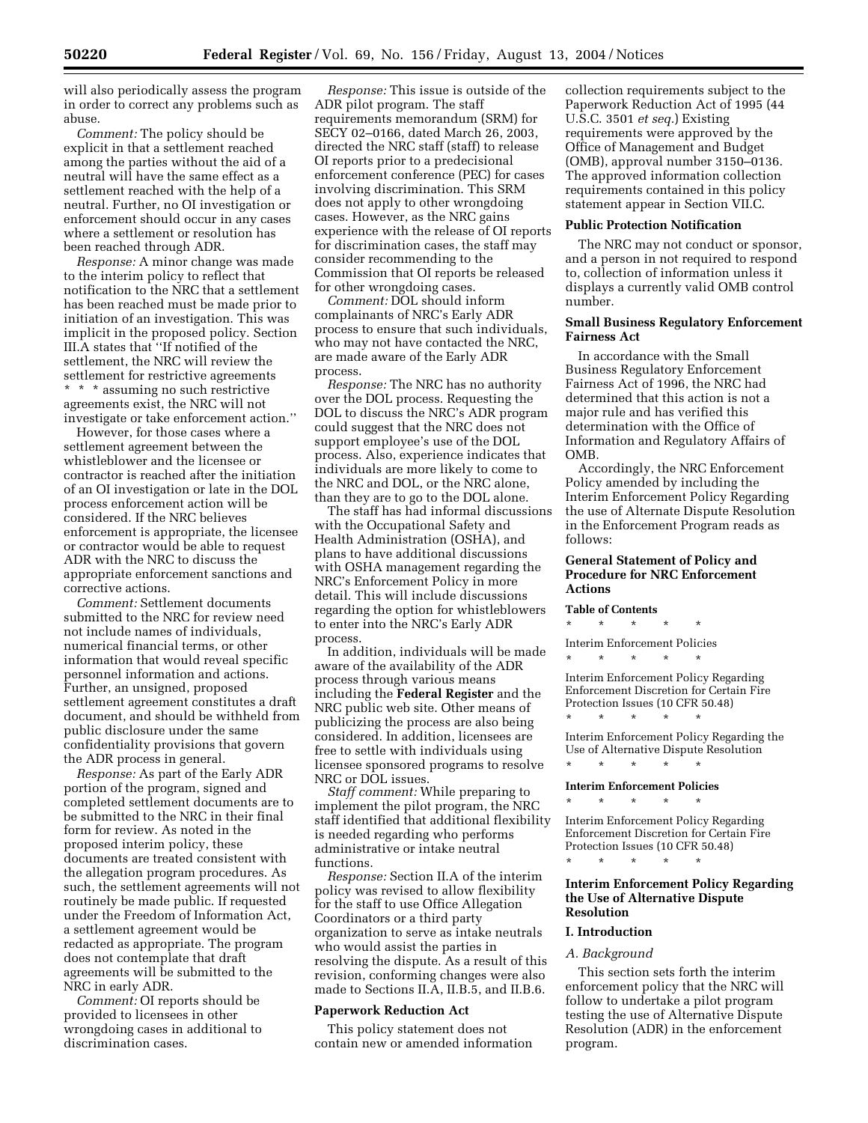will also periodically assess the program in order to correct any problems such as abuse.

*Comment:* The policy should be explicit in that a settlement reached among the parties without the aid of a neutral will have the same effect as a settlement reached with the help of a neutral. Further, no OI investigation or enforcement should occur in any cases where a settlement or resolution has been reached through ADR.

*Response:* A minor change was made to the interim policy to reflect that notification to the NRC that a settlement has been reached must be made prior to initiation of an investigation. This was implicit in the proposed policy. Section III.A states that ''If notified of the settlement, the NRC will review the settlement for restrictive agreements \* \* \* assuming no such restrictive agreements exist, the NRC will not investigate or take enforcement action.''

However, for those cases where a settlement agreement between the whistleblower and the licensee or contractor is reached after the initiation of an OI investigation or late in the DOL process enforcement action will be considered. If the NRC believes enforcement is appropriate, the licensee or contractor would be able to request ADR with the NRC to discuss the appropriate enforcement sanctions and corrective actions.

*Comment:* Settlement documents submitted to the NRC for review need not include names of individuals, numerical financial terms, or other information that would reveal specific personnel information and actions. Further, an unsigned, proposed settlement agreement constitutes a draft document, and should be withheld from public disclosure under the same confidentiality provisions that govern the ADR process in general.

*Response:* As part of the Early ADR portion of the program, signed and completed settlement documents are to be submitted to the NRC in their final form for review. As noted in the proposed interim policy, these documents are treated consistent with the allegation program procedures. As such, the settlement agreements will not routinely be made public. If requested under the Freedom of Information Act, a settlement agreement would be redacted as appropriate. The program does not contemplate that draft agreements will be submitted to the NRC in early ADR.

*Comment:* OI reports should be provided to licensees in other wrongdoing cases in additional to discrimination cases.

*Response:* This issue is outside of the ADR pilot program. The staff requirements memorandum (SRM) for SECY 02–0166, dated March 26, 2003, directed the NRC staff (staff) to release OI reports prior to a predecisional enforcement conference (PEC) for cases involving discrimination. This SRM does not apply to other wrongdoing cases. However, as the NRC gains experience with the release of OI reports for discrimination cases, the staff may consider recommending to the Commission that OI reports be released for other wrongdoing cases.

*Comment:* DOL should inform complainants of NRC's Early ADR process to ensure that such individuals, who may not have contacted the NRC, are made aware of the Early ADR process.

*Response:* The NRC has no authority over the DOL process. Requesting the DOL to discuss the NRC's ADR program could suggest that the NRC does not support employee's use of the DOL process. Also, experience indicates that individuals are more likely to come to the NRC and DOL, or the NRC alone, than they are to go to the DOL alone.

The staff has had informal discussions with the Occupational Safety and Health Administration (OSHA), and plans to have additional discussions with OSHA management regarding the NRC's Enforcement Policy in more detail. This will include discussions regarding the option for whistleblowers to enter into the NRC's Early ADR process.

In addition, individuals will be made aware of the availability of the ADR process through various means including the **Federal Register** and the NRC public web site. Other means of publicizing the process are also being considered. In addition, licensees are free to settle with individuals using licensee sponsored programs to resolve NRC or DOL issues.

*Staff comment:* While preparing to implement the pilot program, the NRC staff identified that additional flexibility is needed regarding who performs administrative or intake neutral functions.

*Response:* Section II.A of the interim policy was revised to allow flexibility for the staff to use Office Allegation Coordinators or a third party organization to serve as intake neutrals who would assist the parties in resolving the dispute. As a result of this revision, conforming changes were also made to Sections II.A, II.B.5, and II.B.6.

### **Paperwork Reduction Act**

This policy statement does not contain new or amended information collection requirements subject to the Paperwork Reduction Act of 1995 (44 U.S.C. 3501 *et seq.*) Existing requirements were approved by the Office of Management and Budget (OMB), approval number 3150–0136. The approved information collection requirements contained in this policy statement appear in Section VII.C.

### **Public Protection Notification**

The NRC may not conduct or sponsor, and a person in not required to respond to, collection of information unless it displays a currently valid OMB control number.

## **Small Business Regulatory Enforcement Fairness Act**

In accordance with the Small Business Regulatory Enforcement Fairness Act of 1996, the NRC had determined that this action is not a major rule and has verified this determination with the Office of Information and Regulatory Affairs of OMB.

Accordingly, the NRC Enforcement Policy amended by including the Interim Enforcement Policy Regarding the use of Alternate Dispute Resolution in the Enforcement Program reads as follows:

## **General Statement of Policy and Procedure for NRC Enforcement Actions**

**Table of Contents**

\* \* \* \* \*

Interim Enforcement Policies \* \* \* \* \*

\* \* \* \* \*

Interim Enforcement Policy Regarding Enforcement Discretion for Certain Fire Protection Issues (10 CFR 50.48)

Interim Enforcement Policy Regarding the Use of Alternative Dispute Resolution \* \* \* \* \*

#### **Interim Enforcement Policies**

\* \* \* \* \*

Interim Enforcement Policy Regarding Enforcement Discretion for Certain Fire Protection Issues (10 CFR 50.48) \* \* \* \* \*

**Interim Enforcement Policy Regarding the Use of Alternative Dispute** 

#### **I. Introduction**

**Resolution** 

#### *A. Background*

This section sets forth the interim enforcement policy that the NRC will follow to undertake a pilot program testing the use of Alternative Dispute Resolution (ADR) in the enforcement program.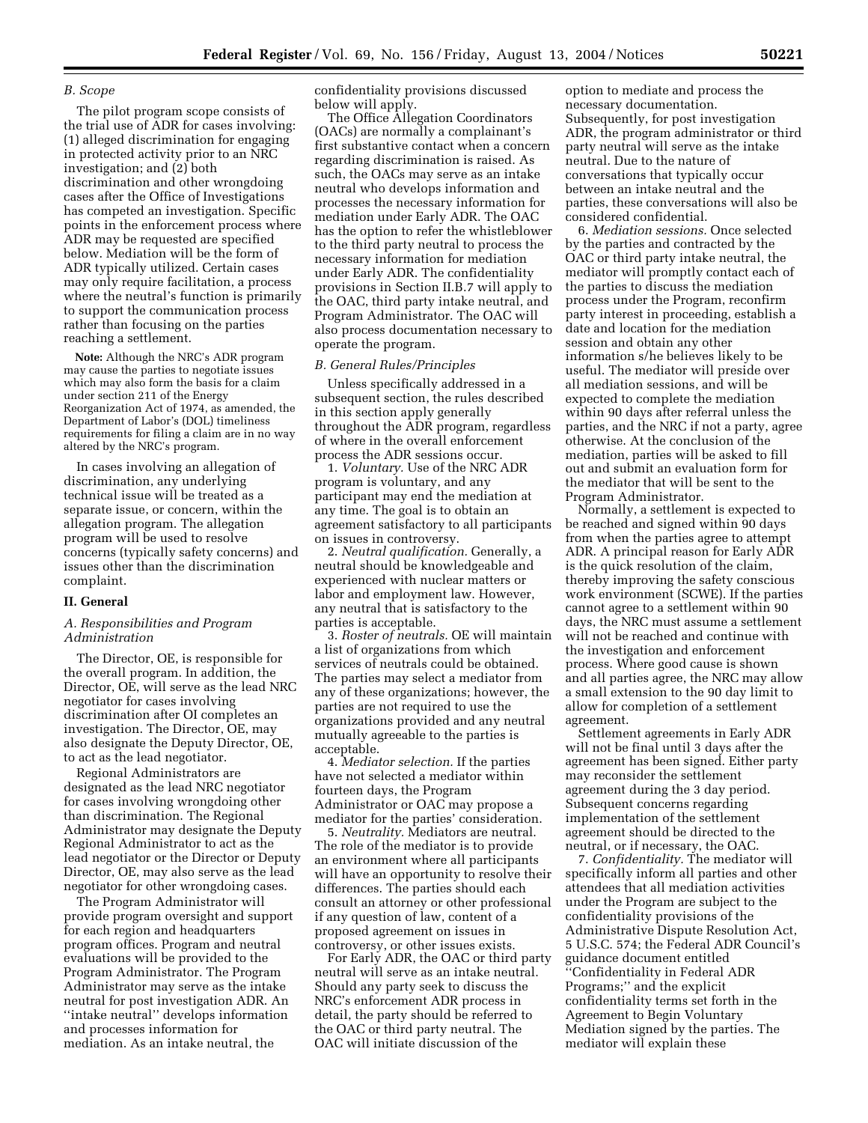### *B. Scope*

The pilot program scope consists of the trial use of ADR for cases involving: (1) alleged discrimination for engaging in protected activity prior to an NRC investigation; and (2) both discrimination and other wrongdoing cases after the Office of Investigations has competed an investigation. Specific points in the enforcement process where ADR may be requested are specified below. Mediation will be the form of ADR typically utilized. Certain cases may only require facilitation, a process where the neutral's function is primarily to support the communication process rather than focusing on the parties reaching a settlement.

**Note:** Although the NRC's ADR program may cause the parties to negotiate issues which may also form the basis for a claim under section 211 of the Energy Reorganization Act of 1974, as amended, the Department of Labor's (DOL) timeliness requirements for filing a claim are in no way altered by the NRC's program.

In cases involving an allegation of discrimination, any underlying technical issue will be treated as a separate issue, or concern, within the allegation program. The allegation program will be used to resolve concerns (typically safety concerns) and issues other than the discrimination complaint.

#### **II. General**

### *A. Responsibilities and Program Administration*

The Director, OE, is responsible for the overall program. In addition, the Director, OE, will serve as the lead NRC negotiator for cases involving discrimination after OI completes an investigation. The Director, OE, may also designate the Deputy Director, OE, to act as the lead negotiator.

Regional Administrators are designated as the lead NRC negotiator for cases involving wrongdoing other than discrimination. The Regional Administrator may designate the Deputy Regional Administrator to act as the lead negotiator or the Director or Deputy Director, OE, may also serve as the lead negotiator for other wrongdoing cases.

The Program Administrator will provide program oversight and support for each region and headquarters program offices. Program and neutral evaluations will be provided to the Program Administrator. The Program Administrator may serve as the intake neutral for post investigation ADR. An ''intake neutral'' develops information and processes information for mediation. As an intake neutral, the

confidentiality provisions discussed below will apply.

The Office Allegation Coordinators (OACs) are normally a complainant's first substantive contact when a concern regarding discrimination is raised. As such, the OACs may serve as an intake neutral who develops information and processes the necessary information for mediation under Early ADR. The OAC has the option to refer the whistleblower to the third party neutral to process the necessary information for mediation under Early ADR. The confidentiality provisions in Section II.B.7 will apply to the OAC, third party intake neutral, and Program Administrator. The OAC will also process documentation necessary to operate the program.

#### *B. General Rules/Principles*

Unless specifically addressed in a subsequent section, the rules described in this section apply generally throughout the ADR program, regardless of where in the overall enforcement process the ADR sessions occur.

1. *Voluntary.* Use of the NRC ADR program is voluntary, and any participant may end the mediation at any time. The goal is to obtain an agreement satisfactory to all participants on issues in controversy.

2. *Neutral qualification.* Generally, a neutral should be knowledgeable and experienced with nuclear matters or labor and employment law. However, any neutral that is satisfactory to the parties is acceptable.

3. *Roster of neutrals.* OE will maintain a list of organizations from which services of neutrals could be obtained. The parties may select a mediator from any of these organizations; however, the parties are not required to use the organizations provided and any neutral mutually agreeable to the parties is acceptable.

4. *Mediator selection.* If the parties have not selected a mediator within fourteen days, the Program Administrator or OAC may propose a mediator for the parties' consideration.

5. *Neutrality.* Mediators are neutral. The role of the mediator is to provide an environment where all participants will have an opportunity to resolve their differences. The parties should each consult an attorney or other professional if any question of law, content of a proposed agreement on issues in controversy, or other issues exists.

For Early ADR, the OAC or third party neutral will serve as an intake neutral. Should any party seek to discuss the NRC's enforcement ADR process in detail, the party should be referred to the OAC or third party neutral. The OAC will initiate discussion of the

option to mediate and process the necessary documentation. Subsequently, for post investigation ADR, the program administrator or third party neutral will serve as the intake neutral. Due to the nature of conversations that typically occur between an intake neutral and the parties, these conversations will also be considered confidential.

6. *Mediation sessions.* Once selected by the parties and contracted by the OAC or third party intake neutral, the mediator will promptly contact each of the parties to discuss the mediation process under the Program, reconfirm party interest in proceeding, establish a date and location for the mediation session and obtain any other information s/he believes likely to be useful. The mediator will preside over all mediation sessions, and will be expected to complete the mediation within 90 days after referral unless the parties, and the NRC if not a party, agree otherwise. At the conclusion of the mediation, parties will be asked to fill out and submit an evaluation form for the mediator that will be sent to the Program Administrator.

Normally, a settlement is expected to be reached and signed within 90 days from when the parties agree to attempt ADR. A principal reason for Early ADR is the quick resolution of the claim, thereby improving the safety conscious work environment (SCWE). If the parties cannot agree to a settlement within 90 days, the NRC must assume a settlement will not be reached and continue with the investigation and enforcement process. Where good cause is shown and all parties agree, the NRC may allow a small extension to the 90 day limit to allow for completion of a settlement agreement.

Settlement agreements in Early ADR will not be final until 3 days after the agreement has been signed. Either party may reconsider the settlement agreement during the 3 day period. Subsequent concerns regarding implementation of the settlement agreement should be directed to the neutral, or if necessary, the OAC.

7. *Confidentiality.* The mediator will specifically inform all parties and other attendees that all mediation activities under the Program are subject to the confidentiality provisions of the Administrative Dispute Resolution Act, 5 U.S.C. 574; the Federal ADR Council's guidance document entitled ''Confidentiality in Federal ADR Programs;'' and the explicit confidentiality terms set forth in the Agreement to Begin Voluntary Mediation signed by the parties. The mediator will explain these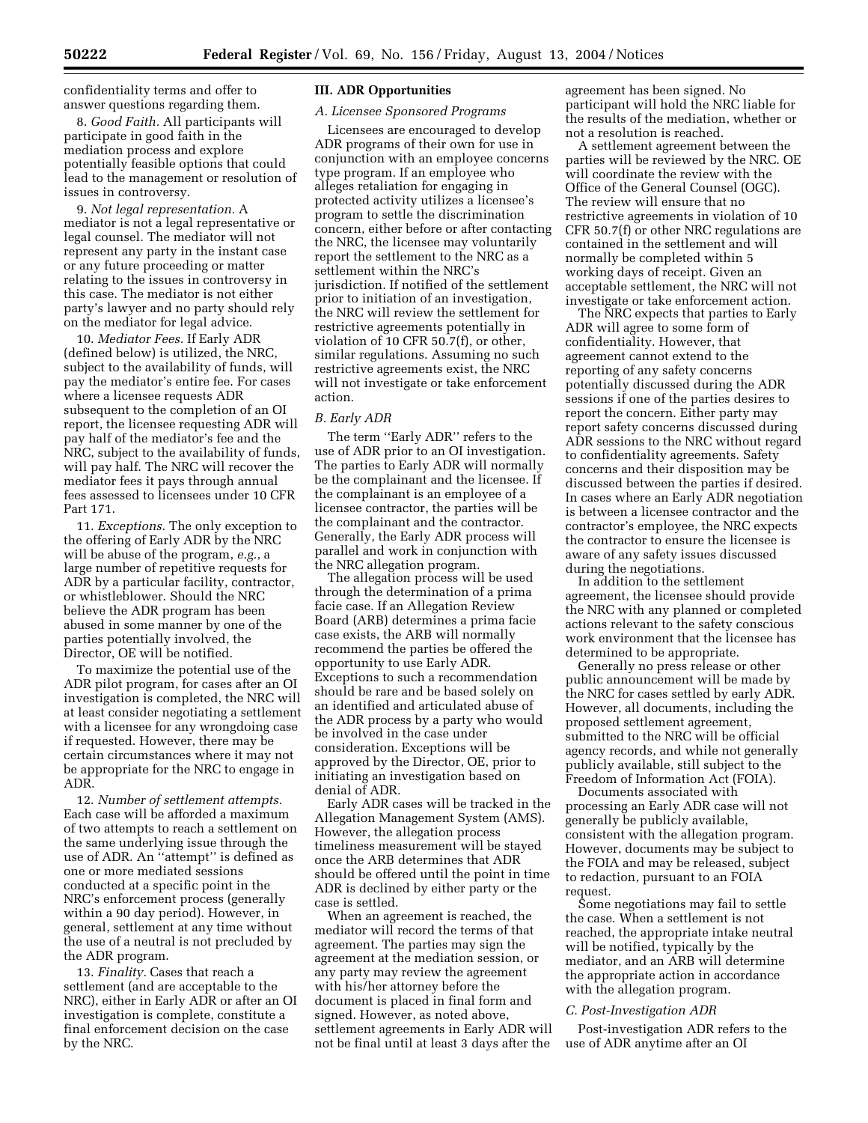confidentiality terms and offer to answer questions regarding them.

8. *Good Faith.* All participants will participate in good faith in the mediation process and explore potentially feasible options that could lead to the management or resolution of issues in controversy.

9. *Not legal representation.* A mediator is not a legal representative or legal counsel. The mediator will not represent any party in the instant case or any future proceeding or matter relating to the issues in controversy in this case. The mediator is not either party's lawyer and no party should rely on the mediator for legal advice.

10. *Mediator Fees.* If Early ADR (defined below) is utilized, the NRC, subject to the availability of funds, will pay the mediator's entire fee. For cases where a licensee requests ADR subsequent to the completion of an OI report, the licensee requesting ADR will pay half of the mediator's fee and the NRC, subject to the availability of funds, will pay half. The NRC will recover the mediator fees it pays through annual fees assessed to licensees under 10 CFR Part 171.

11. *Exceptions.* The only exception to the offering of Early ADR by the NRC will be abuse of the program, *e.g.*, a large number of repetitive requests for ADR by a particular facility, contractor, or whistleblower. Should the NRC believe the ADR program has been abused in some manner by one of the parties potentially involved, the Director, OE will be notified.

To maximize the potential use of the ADR pilot program, for cases after an OI investigation is completed, the NRC will at least consider negotiating a settlement with a licensee for any wrongdoing case if requested. However, there may be certain circumstances where it may not be appropriate for the NRC to engage in ADR.

12. *Number of settlement attempts.* Each case will be afforded a maximum of two attempts to reach a settlement on the same underlying issue through the use of ADR. An ''attempt'' is defined as one or more mediated sessions conducted at a specific point in the NRC's enforcement process (generally within a 90 day period). However, in general, settlement at any time without the use of a neutral is not precluded by the ADR program.

13. *Finality.* Cases that reach a settlement (and are acceptable to the NRC), either in Early ADR or after an OI investigation is complete, constitute a final enforcement decision on the case by the NRC.

### **III. ADR Opportunities**

### *A. Licensee Sponsored Programs*

Licensees are encouraged to develop ADR programs of their own for use in conjunction with an employee concerns type program. If an employee who alleges retaliation for engaging in protected activity utilizes a licensee's program to settle the discrimination concern, either before or after contacting the NRC, the licensee may voluntarily report the settlement to the NRC as a settlement within the NRC's jurisdiction. If notified of the settlement prior to initiation of an investigation, the NRC will review the settlement for restrictive agreements potentially in violation of 10 CFR 50.7(f), or other, similar regulations. Assuming no such restrictive agreements exist, the NRC will not investigate or take enforcement action.

#### *B. Early ADR*

The term ''Early ADR'' refers to the use of ADR prior to an OI investigation. The parties to Early ADR will normally be the complainant and the licensee. If the complainant is an employee of a licensee contractor, the parties will be the complainant and the contractor. Generally, the Early ADR process will parallel and work in conjunction with the NRC allegation program.

The allegation process will be used through the determination of a prima facie case. If an Allegation Review Board (ARB) determines a prima facie case exists, the ARB will normally recommend the parties be offered the opportunity to use Early ADR. Exceptions to such a recommendation should be rare and be based solely on an identified and articulated abuse of the ADR process by a party who would be involved in the case under consideration. Exceptions will be approved by the Director, OE, prior to initiating an investigation based on denial of ADR.

Early ADR cases will be tracked in the Allegation Management System (AMS). However, the allegation process timeliness measurement will be stayed once the ARB determines that ADR should be offered until the point in time ADR is declined by either party or the case is settled.

When an agreement is reached, the mediator will record the terms of that agreement. The parties may sign the agreement at the mediation session, or any party may review the agreement with his/her attorney before the document is placed in final form and signed. However, as noted above, settlement agreements in Early ADR will not be final until at least 3 days after the

agreement has been signed. No participant will hold the NRC liable for the results of the mediation, whether or not a resolution is reached.

A settlement agreement between the parties will be reviewed by the NRC. OE will coordinate the review with the Office of the General Counsel (OGC). The review will ensure that no restrictive agreements in violation of 10 CFR 50.7(f) or other NRC regulations are contained in the settlement and will normally be completed within 5 working days of receipt. Given an acceptable settlement, the NRC will not investigate or take enforcement action.

The NRC expects that parties to Early ADR will agree to some form of confidentiality. However, that agreement cannot extend to the reporting of any safety concerns potentially discussed during the ADR sessions if one of the parties desires to report the concern. Either party may report safety concerns discussed during ADR sessions to the NRC without regard to confidentiality agreements. Safety concerns and their disposition may be discussed between the parties if desired. In cases where an Early ADR negotiation is between a licensee contractor and the contractor's employee, the NRC expects the contractor to ensure the licensee is aware of any safety issues discussed during the negotiations.

In addition to the settlement agreement, the licensee should provide the NRC with any planned or completed actions relevant to the safety conscious work environment that the licensee has determined to be appropriate.

Generally no press release or other public announcement will be made by the NRC for cases settled by early ADR. However, all documents, including the proposed settlement agreement, submitted to the NRC will be official agency records, and while not generally publicly available, still subject to the Freedom of Information Act (FOIA).

Documents associated with processing an Early ADR case will not generally be publicly available, consistent with the allegation program. However, documents may be subject to the FOIA and may be released, subject to redaction, pursuant to an FOIA request.

Some negotiations may fail to settle the case. When a settlement is not reached, the appropriate intake neutral will be notified, typically by the mediator, and an ARB will determine the appropriate action in accordance with the allegation program.

#### *C. Post-Investigation ADR*

Post-investigation ADR refers to the use of ADR anytime after an OI